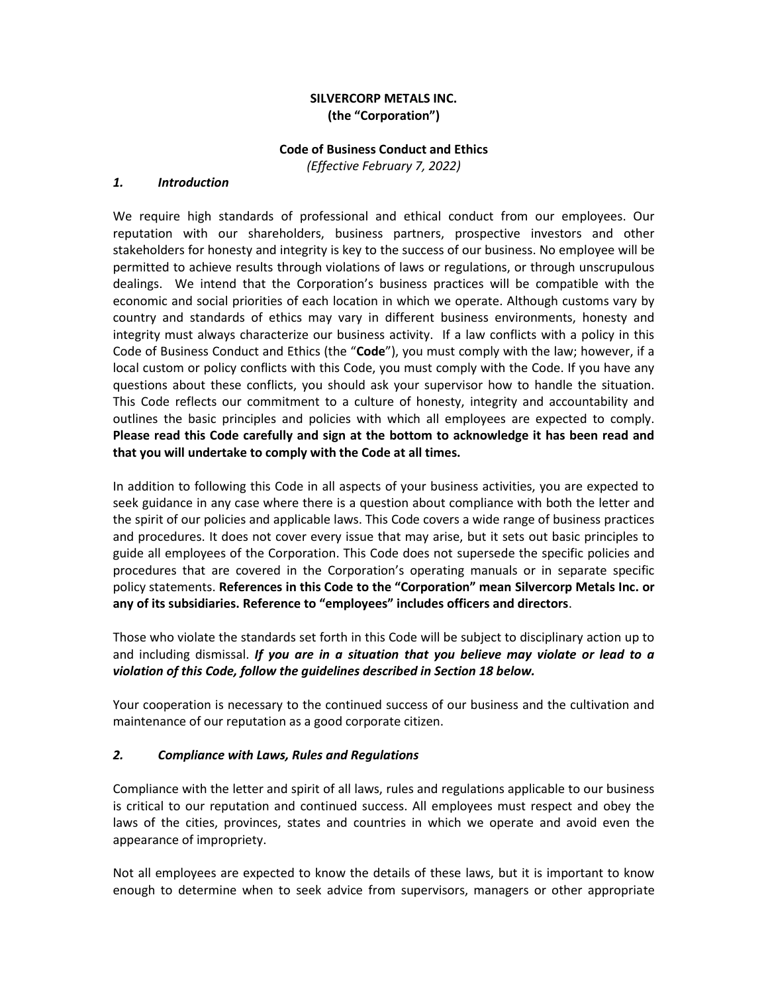### **SILVERCORP METALS INC. (the "Corporation")**

#### **Code of Business Conduct and Ethics**

*(Effective February 7, 2022)*

#### *1. Introduction*

We require high standards of professional and ethical conduct from our employees. Our reputation with our shareholders, business partners, prospective investors and other stakeholders for honesty and integrity is key to the success of our business. No employee will be permitted to achieve results through violations of laws or regulations, or through unscrupulous dealings. We intend that the Corporation's business practices will be compatible with the economic and social priorities of each location in which we operate. Although customs vary by country and standards of ethics may vary in different business environments, honesty and integrity must always characterize our business activity. If a law conflicts with a policy in this Code of Business Conduct and Ethics (the "**Code**"), you must comply with the law; however, if a local custom or policy conflicts with this Code, you must comply with the Code. If you have any questions about these conflicts, you should ask your supervisor how to handle the situation. This Code reflects our commitment to a culture of honesty, integrity and accountability and outlines the basic principles and policies with which all employees are expected to comply. **Please read this Code carefully and sign at the bottom to acknowledge it has been read and that you will undertake to comply with the Code at all times.**

In addition to following this Code in all aspects of your business activities, you are expected to seek guidance in any case where there is a question about compliance with both the letter and the spirit of our policies and applicable laws. This Code covers a wide range of business practices and procedures. It does not cover every issue that may arise, but it sets out basic principles to guide all employees of the Corporation. This Code does not supersede the specific policies and procedures that are covered in the Corporation's operating manuals or in separate specific policy statements. **References in this Code to the "Corporation" mean Silvercorp Metals Inc. or any of its subsidiaries. Reference to "employees" includes officers and directors**.

Those who violate the standards set forth in this Code will be subject to disciplinary action up to and including dismissal. *If you are in a situation that you believe may violate or lead to a violation of this Code, follow the guidelines described in Section 18 below.*

Your cooperation is necessary to the continued success of our business and the cultivation and maintenance of our reputation as a good corporate citizen.

#### *2. Compliance with Laws, Rules and Regulations*

Compliance with the letter and spirit of all laws, rules and regulations applicable to our business is critical to our reputation and continued success. All employees must respect and obey the laws of the cities, provinces, states and countries in which we operate and avoid even the appearance of impropriety.

Not all employees are expected to know the details of these laws, but it is important to know enough to determine when to seek advice from supervisors, managers or other appropriate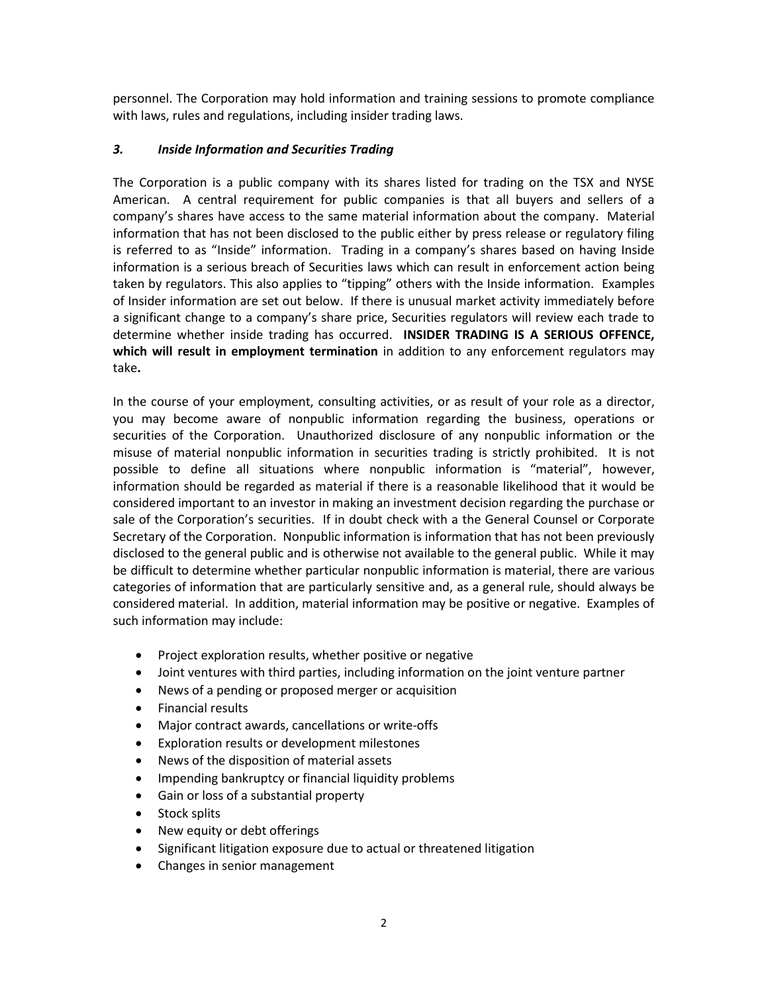personnel. The Corporation may hold information and training sessions to promote compliance with laws, rules and regulations, including insider trading laws.

### *3. Inside Information and Securities Trading*

The Corporation is a public company with its shares listed for trading on the TSX and NYSE American. A central requirement for public companies is that all buyers and sellers of a company's shares have access to the same material information about the company. Material information that has not been disclosed to the public either by press release or regulatory filing is referred to as "Inside" information. Trading in a company's shares based on having Inside information is a serious breach of Securities laws which can result in enforcement action being taken by regulators. This also applies to "tipping" others with the Inside information. Examples of Insider information are set out below. If there is unusual market activity immediately before a significant change to a company's share price, Securities regulators will review each trade to determine whether inside trading has occurred. **INSIDER TRADING IS A SERIOUS OFFENCE, which will result in employment termination** in addition to any enforcement regulators may take**.**

In the course of your employment, consulting activities, or as result of your role as a director, you may become aware of nonpublic information regarding the business, operations or securities of the Corporation. Unauthorized disclosure of any nonpublic information or the misuse of material nonpublic information in securities trading is strictly prohibited. It is not possible to define all situations where nonpublic information is "material", however, information should be regarded as material if there is a reasonable likelihood that it would be considered important to an investor in making an investment decision regarding the purchase or sale of the Corporation's securities. If in doubt check with a the General Counsel or Corporate Secretary of the Corporation. Nonpublic information is information that has not been previously disclosed to the general public and is otherwise not available to the general public. While it may be difficult to determine whether particular nonpublic information is material, there are various categories of information that are particularly sensitive and, as a general rule, should always be considered material. In addition, material information may be positive or negative. Examples of such information may include:

- Project exploration results, whether positive or negative
- Joint ventures with third parties, including information on the joint venture partner
- News of a pending or proposed merger or acquisition
- Financial results
- Major contract awards, cancellations or write-offs
- Exploration results or development milestones
- News of the disposition of material assets
- Impending bankruptcy or financial liquidity problems
- Gain or loss of a substantial property
- Stock splits
- New equity or debt offerings
- Significant litigation exposure due to actual or threatened litigation
- Changes in senior management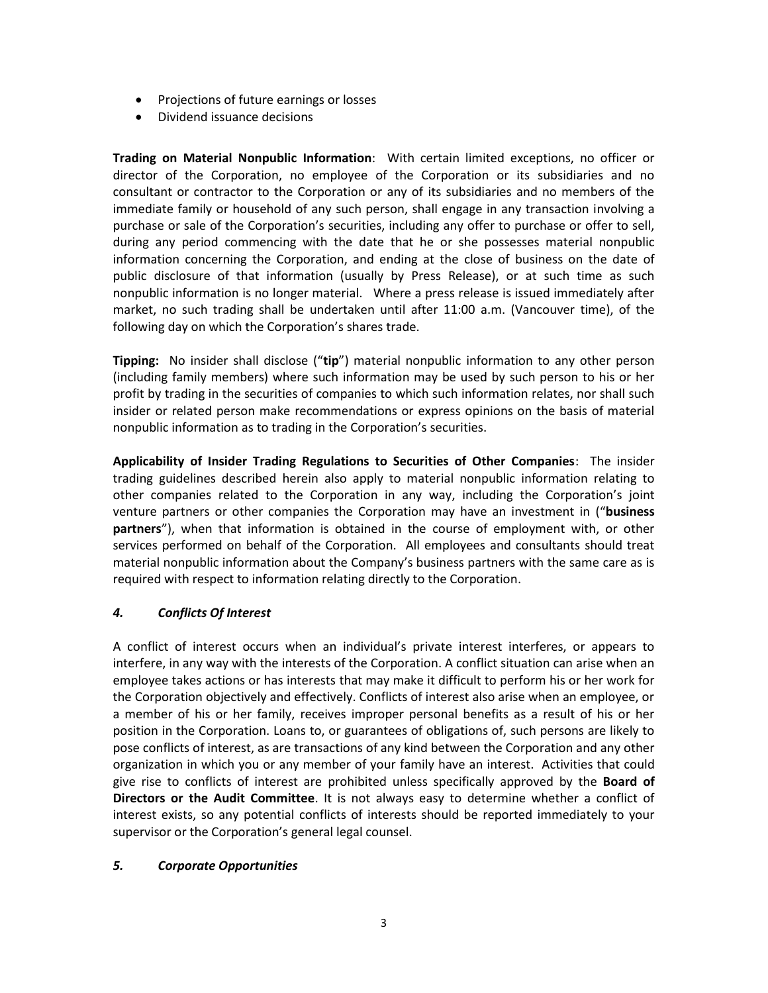- Projections of future earnings or losses
- Dividend issuance decisions

**Trading on Material Nonpublic Information**: With certain limited exceptions, no officer or director of the Corporation, no employee of the Corporation or its subsidiaries and no consultant or contractor to the Corporation or any of its subsidiaries and no members of the immediate family or household of any such person, shall engage in any transaction involving a purchase or sale of the Corporation's securities, including any offer to purchase or offer to sell, during any period commencing with the date that he or she possesses material nonpublic information concerning the Corporation, and ending at the close of business on the date of public disclosure of that information (usually by Press Release), or at such time as such nonpublic information is no longer material. Where a press release is issued immediately after market, no such trading shall be undertaken until after 11:00 a.m. (Vancouver time), of the following day on which the Corporation's shares trade.

**Tipping:** No insider shall disclose ("**tip**") material nonpublic information to any other person (including family members) where such information may be used by such person to his or her profit by trading in the securities of companies to which such information relates, nor shall such insider or related person make recommendations or express opinions on the basis of material nonpublic information as to trading in the Corporation's securities.

**Applicability of Insider Trading Regulations to Securities of Other Companies**: The insider trading guidelines described herein also apply to material nonpublic information relating to other companies related to the Corporation in any way, including the Corporation's joint venture partners or other companies the Corporation may have an investment in ("**business partners**"), when that information is obtained in the course of employment with, or other services performed on behalf of the Corporation. All employees and consultants should treat material nonpublic information about the Company's business partners with the same care as is required with respect to information relating directly to the Corporation.

## *4. Conflicts Of Interest*

A conflict of interest occurs when an individual's private interest interferes, or appears to interfere, in any way with the interests of the Corporation. A conflict situation can arise when an employee takes actions or has interests that may make it difficult to perform his or her work for the Corporation objectively and effectively. Conflicts of interest also arise when an employee, or a member of his or her family, receives improper personal benefits as a result of his or her position in the Corporation. Loans to, or guarantees of obligations of, such persons are likely to pose conflicts of interest, as are transactions of any kind between the Corporation and any other organization in which you or any member of your family have an interest. Activities that could give rise to conflicts of interest are prohibited unless specifically approved by the **Board of Directors or the Audit Committee**. It is not always easy to determine whether a conflict of interest exists, so any potential conflicts of interests should be reported immediately to your supervisor or the Corporation's general legal counsel.

## *5. Corporate Opportunities*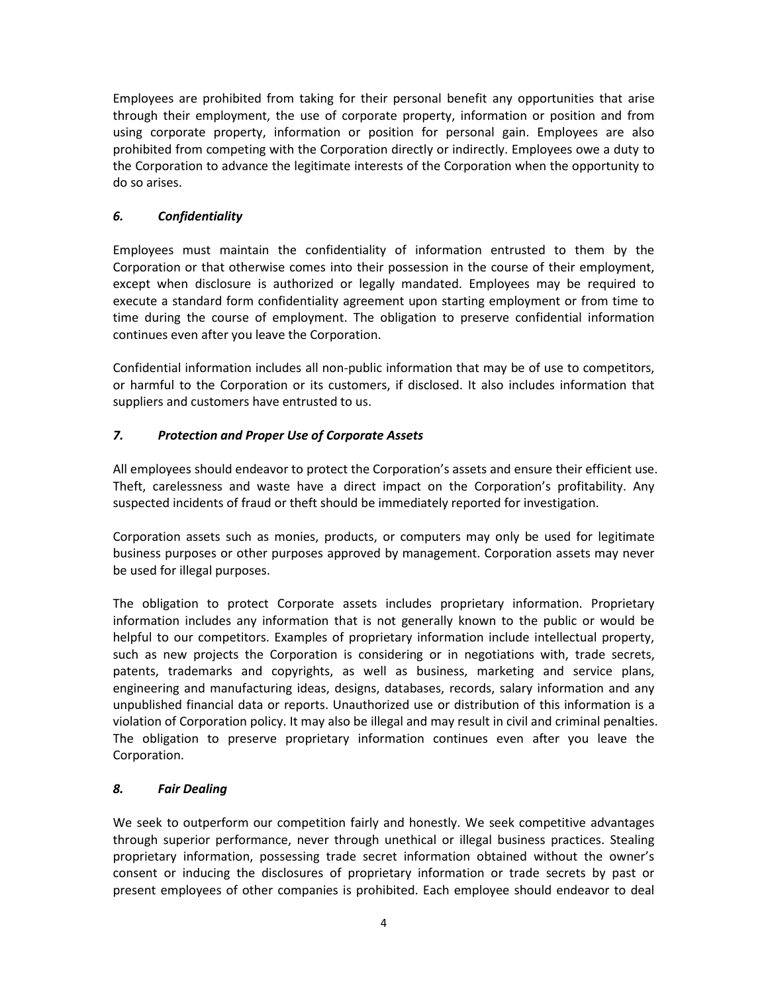Employees are prohibited from taking for their personal benefit any opportunities that arise through their employment, the use of corporate property, information or position and from using corporate property, information or position for personal gain. Employees are also prohibited from competing with the Corporation directly or indirectly. Employees owe a duty to the Corporation to advance the legitimate interests of the Corporation when the opportunity to do so arises.

# *6. Confidentiality*

Employees must maintain the confidentiality of information entrusted to them by the Corporation or that otherwise comes into their possession in the course of their employment, except when disclosure is authorized or legally mandated. Employees may be required to execute a standard form confidentiality agreement upon starting employment or from time to time during the course of employment. The obligation to preserve confidential information continues even after you leave the Corporation.

Confidential information includes all non-public information that may be of use to competitors, or harmful to the Corporation or its customers, if disclosed. It also includes information that suppliers and customers have entrusted to us.

# *7. Protection and Proper Use of Corporate Assets*

All employees should endeavor to protect the Corporation's assets and ensure their efficient use. Theft, carelessness and waste have a direct impact on the Corporation's profitability. Any suspected incidents of fraud or theft should be immediately reported for investigation.

Corporation assets such as monies, products, or computers may only be used for legitimate business purposes or other purposes approved by management. Corporation assets may never be used for illegal purposes.

The obligation to protect Corporate assets includes proprietary information. Proprietary information includes any information that is not generally known to the public or would be helpful to our competitors. Examples of proprietary information include intellectual property, such as new projects the Corporation is considering or in negotiations with, trade secrets, patents, trademarks and copyrights, as well as business, marketing and service plans, engineering and manufacturing ideas, designs, databases, records, salary information and any unpublished financial data or reports. Unauthorized use or distribution of this information is a violation of Corporation policy. It may also be illegal and may result in civil and criminal penalties. The obligation to preserve proprietary information continues even after you leave the Corporation.

## *8. Fair Dealing*

We seek to outperform our competition fairly and honestly. We seek competitive advantages through superior performance, never through unethical or illegal business practices. Stealing proprietary information, possessing trade secret information obtained without the owner's consent or inducing the disclosures of proprietary information or trade secrets by past or present employees of other companies is prohibited. Each employee should endeavor to deal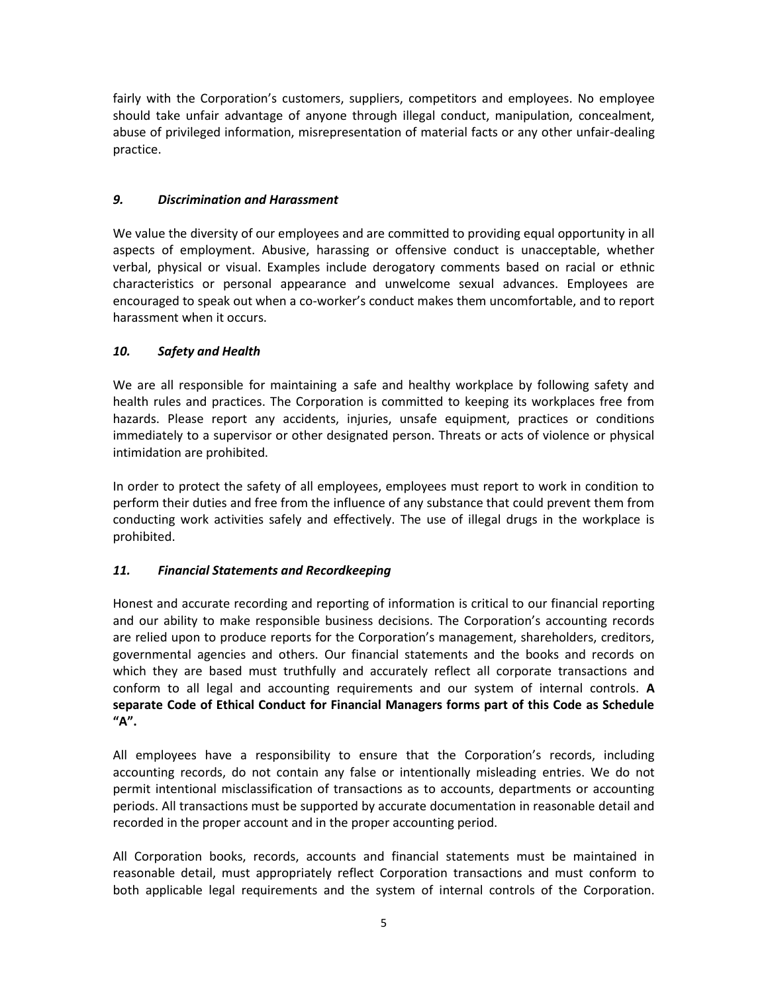fairly with the Corporation's customers, suppliers, competitors and employees. No employee should take unfair advantage of anyone through illegal conduct, manipulation, concealment, abuse of privileged information, misrepresentation of material facts or any other unfair-dealing practice.

# *9. Discrimination and Harassment*

We value the diversity of our employees and are committed to providing equal opportunity in all aspects of employment. Abusive, harassing or offensive conduct is unacceptable, whether verbal, physical or visual. Examples include derogatory comments based on racial or ethnic characteristics or personal appearance and unwelcome sexual advances. Employees are encouraged to speak out when a co-worker's conduct makes them uncomfortable, and to report harassment when it occurs.

# *10. Safety and Health*

We are all responsible for maintaining a safe and healthy workplace by following safety and health rules and practices. The Corporation is committed to keeping its workplaces free from hazards. Please report any accidents, injuries, unsafe equipment, practices or conditions immediately to a supervisor or other designated person. Threats or acts of violence or physical intimidation are prohibited.

In order to protect the safety of all employees, employees must report to work in condition to perform their duties and free from the influence of any substance that could prevent them from conducting work activities safely and effectively. The use of illegal drugs in the workplace is prohibited.

## *11. Financial Statements and Recordkeeping*

Honest and accurate recording and reporting of information is critical to our financial reporting and our ability to make responsible business decisions. The Corporation's accounting records are relied upon to produce reports for the Corporation's management, shareholders, creditors, governmental agencies and others. Our financial statements and the books and records on which they are based must truthfully and accurately reflect all corporate transactions and conform to all legal and accounting requirements and our system of internal controls. **A separate Code of Ethical Conduct for Financial Managers forms part of this Code as Schedule "A".**

All employees have a responsibility to ensure that the Corporation's records, including accounting records, do not contain any false or intentionally misleading entries. We do not permit intentional misclassification of transactions as to accounts, departments or accounting periods. All transactions must be supported by accurate documentation in reasonable detail and recorded in the proper account and in the proper accounting period.

All Corporation books, records, accounts and financial statements must be maintained in reasonable detail, must appropriately reflect Corporation transactions and must conform to both applicable legal requirements and the system of internal controls of the Corporation.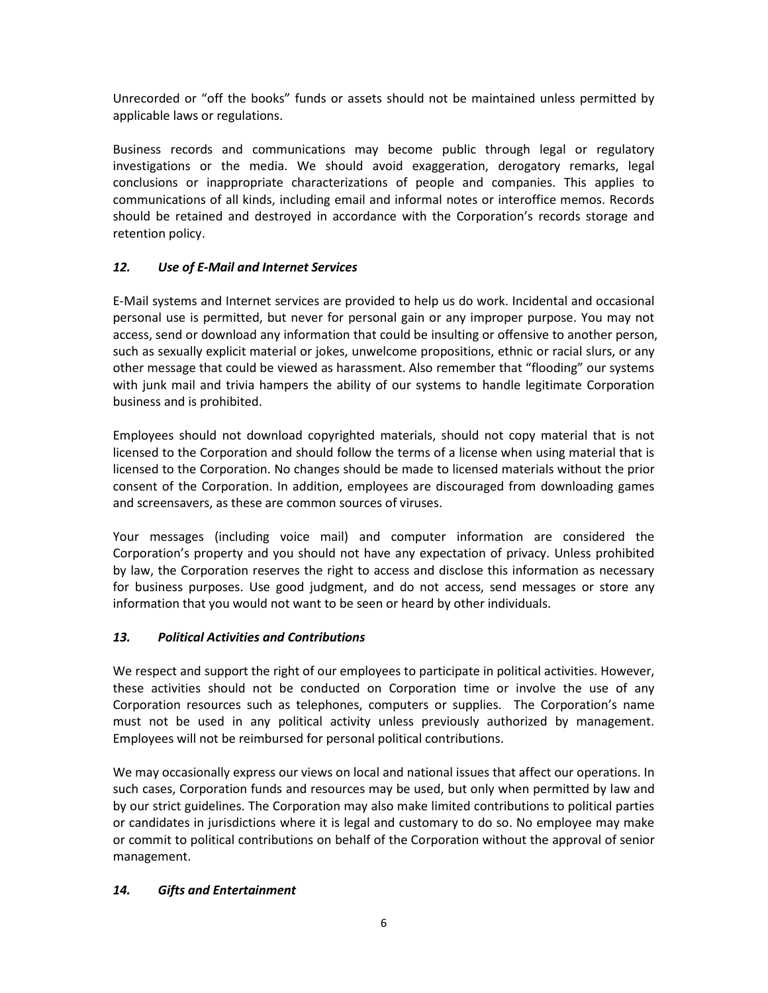Unrecorded or "off the books" funds or assets should not be maintained unless permitted by applicable laws or regulations.

Business records and communications may become public through legal or regulatory investigations or the media. We should avoid exaggeration, derogatory remarks, legal conclusions or inappropriate characterizations of people and companies. This applies to communications of all kinds, including email and informal notes or interoffice memos. Records should be retained and destroyed in accordance with the Corporation's records storage and retention policy.

# *12. Use of E-Mail and Internet Services*

E-Mail systems and Internet services are provided to help us do work. Incidental and occasional personal use is permitted, but never for personal gain or any improper purpose. You may not access, send or download any information that could be insulting or offensive to another person, such as sexually explicit material or jokes, unwelcome propositions, ethnic or racial slurs, or any other message that could be viewed as harassment. Also remember that "flooding" our systems with junk mail and trivia hampers the ability of our systems to handle legitimate Corporation business and is prohibited.

Employees should not download copyrighted materials, should not copy material that is not licensed to the Corporation and should follow the terms of a license when using material that is licensed to the Corporation. No changes should be made to licensed materials without the prior consent of the Corporation. In addition, employees are discouraged from downloading games and screensavers, as these are common sources of viruses.

Your messages (including voice mail) and computer information are considered the Corporation's property and you should not have any expectation of privacy. Unless prohibited by law, the Corporation reserves the right to access and disclose this information as necessary for business purposes. Use good judgment, and do not access, send messages or store any information that you would not want to be seen or heard by other individuals.

# *13. Political Activities and Contributions*

We respect and support the right of our employees to participate in political activities. However, these activities should not be conducted on Corporation time or involve the use of any Corporation resources such as telephones, computers or supplies. The Corporation's name must not be used in any political activity unless previously authorized by management. Employees will not be reimbursed for personal political contributions.

We may occasionally express our views on local and national issues that affect our operations. In such cases, Corporation funds and resources may be used, but only when permitted by law and by our strict guidelines. The Corporation may also make limited contributions to political parties or candidates in jurisdictions where it is legal and customary to do so. No employee may make or commit to political contributions on behalf of the Corporation without the approval of senior management.

# *14. Gifts and Entertainment*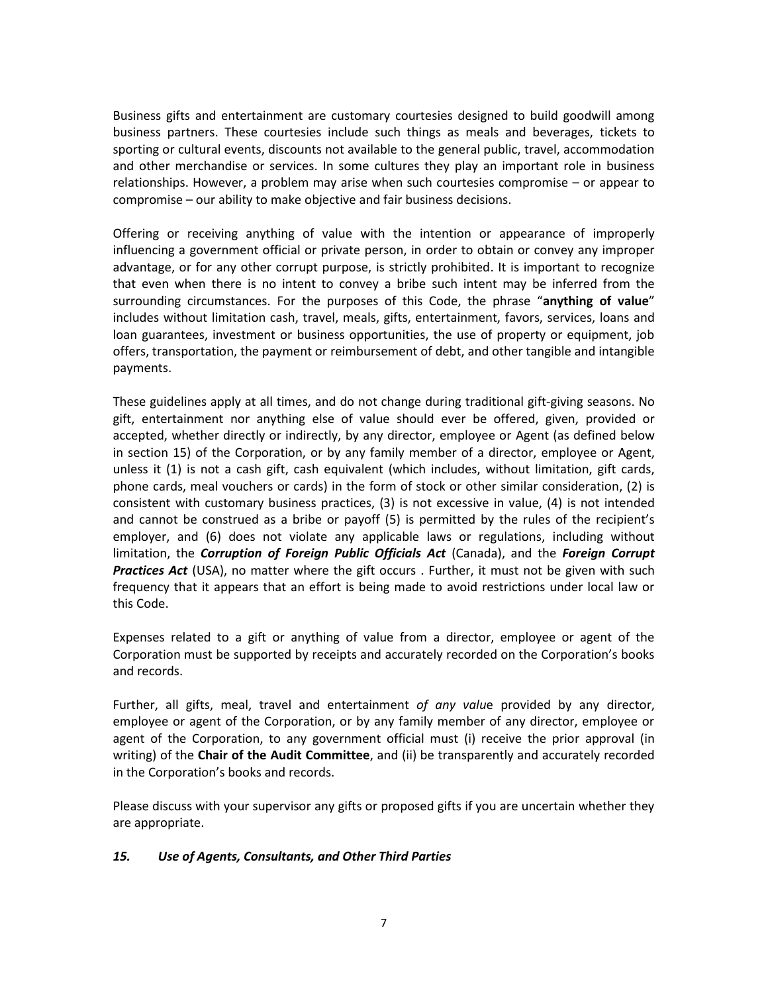Business gifts and entertainment are customary courtesies designed to build goodwill among business partners. These courtesies include such things as meals and beverages, tickets to sporting or cultural events, discounts not available to the general public, travel, accommodation and other merchandise or services. In some cultures they play an important role in business relationships. However, a problem may arise when such courtesies compromise – or appear to compromise – our ability to make objective and fair business decisions.

Offering or receiving anything of value with the intention or appearance of improperly influencing a government official or private person, in order to obtain or convey any improper advantage, or for any other corrupt purpose, is strictly prohibited. It is important to recognize that even when there is no intent to convey a bribe such intent may be inferred from the surrounding circumstances. For the purposes of this Code, the phrase "**anything of value**" includes without limitation cash, travel, meals, gifts, entertainment, favors, services, loans and loan guarantees, investment or business opportunities, the use of property or equipment, job offers, transportation, the payment or reimbursement of debt, and other tangible and intangible payments.

These guidelines apply at all times, and do not change during traditional gift-giving seasons. No gift, entertainment nor anything else of value should ever be offered, given, provided or accepted, whether directly or indirectly, by any director, employee or Agent (as defined below in section 15) of the Corporation, or by any family member of a director, employee or Agent, unless it (1) is not a cash gift, cash equivalent (which includes, without limitation, gift cards, phone cards, meal vouchers or cards) in the form of stock or other similar consideration, (2) is consistent with customary business practices, (3) is not excessive in value, (4) is not intended and cannot be construed as a bribe or payoff (5) is permitted by the rules of the recipient's employer, and (6) does not violate any applicable laws or regulations, including without limitation, the *Corruption of Foreign Public Officials Act* (Canada), and the *Foreign Corrupt*  **Practices Act** (USA), no matter where the gift occurs . Further, it must not be given with such frequency that it appears that an effort is being made to avoid restrictions under local law or this Code.

Expenses related to a gift or anything of value from a director, employee or agent of the Corporation must be supported by receipts and accurately recorded on the Corporation's books and records.

Further, all gifts, meal, travel and entertainment *of any valu*e provided by any director, employee or agent of the Corporation, or by any family member of any director, employee or agent of the Corporation, to any government official must (i) receive the prior approval (in writing) of the **Chair of the Audit Committee**, and (ii) be transparently and accurately recorded in the Corporation's books and records.

Please discuss with your supervisor any gifts or proposed gifts if you are uncertain whether they are appropriate.

#### *15. Use of Agents, Consultants, and Other Third Parties*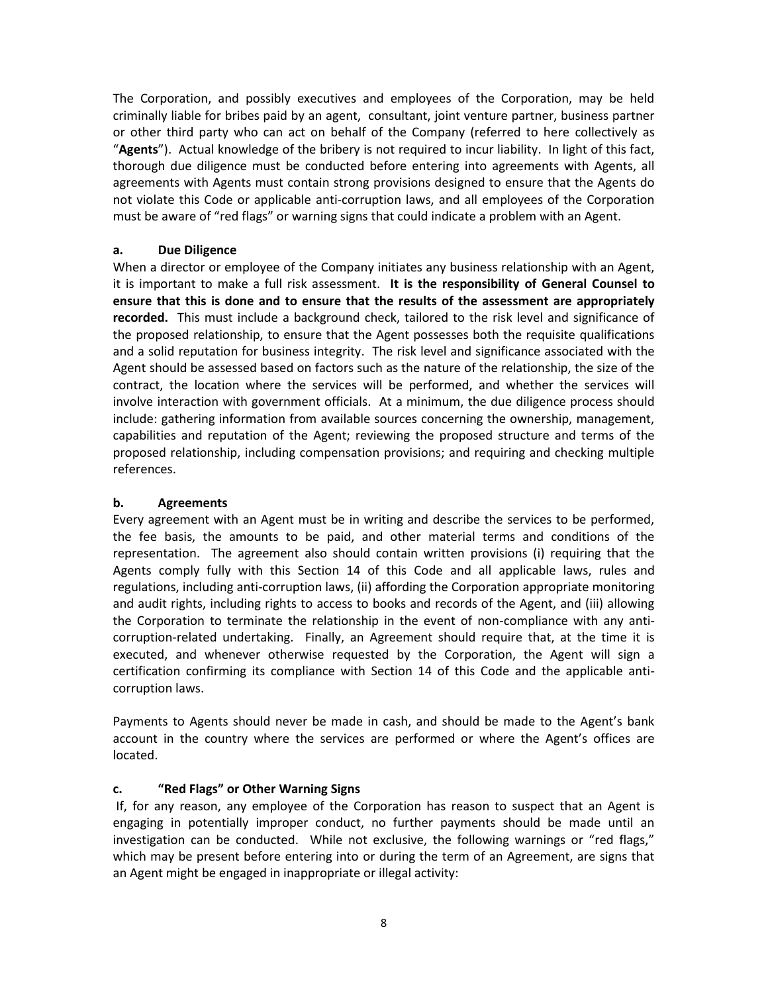The Corporation, and possibly executives and employees of the Corporation, may be held criminally liable for bribes paid by an agent, consultant, joint venture partner, business partner or other third party who can act on behalf of the Company (referred to here collectively as "**Agents**"). Actual knowledge of the bribery is not required to incur liability. In light of this fact, thorough due diligence must be conducted before entering into agreements with Agents, all agreements with Agents must contain strong provisions designed to ensure that the Agents do not violate this Code or applicable anti-corruption laws, and all employees of the Corporation must be aware of "red flags" or warning signs that could indicate a problem with an Agent.

### **a. Due Diligence**

When a director or employee of the Company initiates any business relationship with an Agent, it is important to make a full risk assessment. **It is the responsibility of General Counsel to ensure that this is done and to ensure that the results of the assessment are appropriately recorded.** This must include a background check, tailored to the risk level and significance of the proposed relationship, to ensure that the Agent possesses both the requisite qualifications and a solid reputation for business integrity. The risk level and significance associated with the Agent should be assessed based on factors such as the nature of the relationship, the size of the contract, the location where the services will be performed, and whether the services will involve interaction with government officials. At a minimum, the due diligence process should include: gathering information from available sources concerning the ownership, management, capabilities and reputation of the Agent; reviewing the proposed structure and terms of the proposed relationship, including compensation provisions; and requiring and checking multiple references.

### **b. Agreements**

Every agreement with an Agent must be in writing and describe the services to be performed, the fee basis, the amounts to be paid, and other material terms and conditions of the representation. The agreement also should contain written provisions (i) requiring that the Agents comply fully with this Section 14 of this Code and all applicable laws, rules and regulations, including anti-corruption laws, (ii) affording the Corporation appropriate monitoring and audit rights, including rights to access to books and records of the Agent, and (iii) allowing the Corporation to terminate the relationship in the event of non-compliance with any anticorruption-related undertaking. Finally, an Agreement should require that, at the time it is executed, and whenever otherwise requested by the Corporation, the Agent will sign a certification confirming its compliance with Section 14 of this Code and the applicable anticorruption laws.

Payments to Agents should never be made in cash, and should be made to the Agent's bank account in the country where the services are performed or where the Agent's offices are located.

#### **c. "Red Flags" or Other Warning Signs**

If, for any reason, any employee of the Corporation has reason to suspect that an Agent is engaging in potentially improper conduct, no further payments should be made until an investigation can be conducted. While not exclusive, the following warnings or "red flags," which may be present before entering into or during the term of an Agreement, are signs that an Agent might be engaged in inappropriate or illegal activity: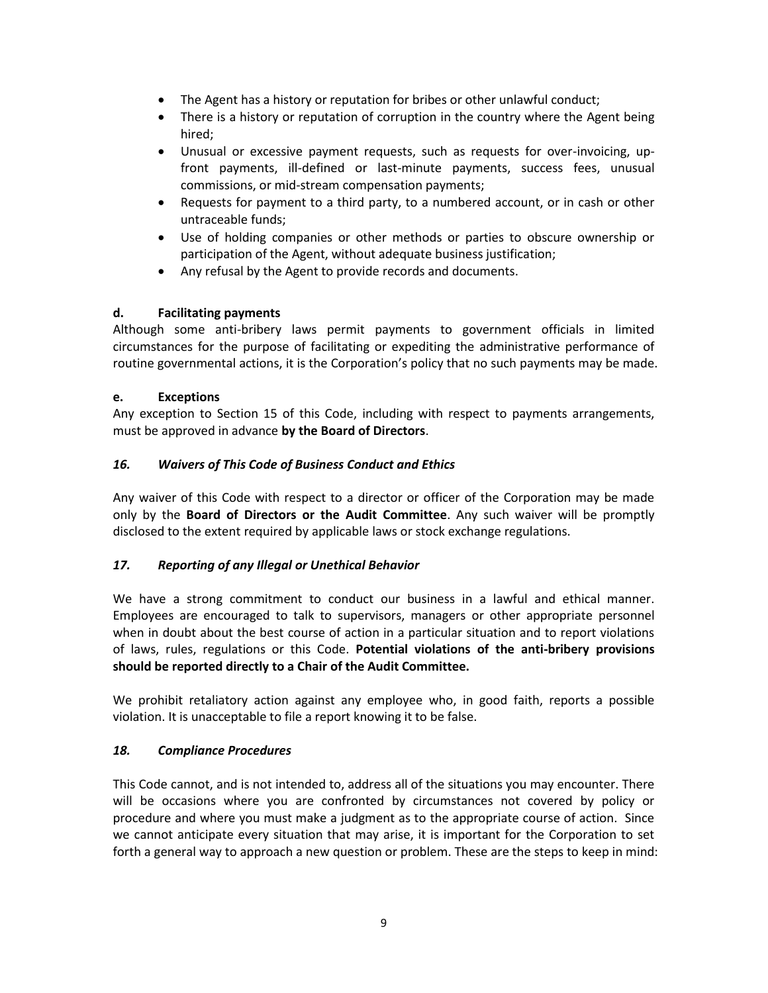- The Agent has a history or reputation for bribes or other unlawful conduct;
- There is a history or reputation of corruption in the country where the Agent being hired;
- Unusual or excessive payment requests, such as requests for over-invoicing, upfront payments, ill-defined or last-minute payments, success fees, unusual commissions, or mid-stream compensation payments;
- Requests for payment to a third party, to a numbered account, or in cash or other untraceable funds;
- Use of holding companies or other methods or parties to obscure ownership or participation of the Agent, without adequate business justification;
- Any refusal by the Agent to provide records and documents.

### **d. Facilitating payments**

Although some anti-bribery laws permit payments to government officials in limited circumstances for the purpose of facilitating or expediting the administrative performance of routine governmental actions, it is the Corporation's policy that no such payments may be made.

### **e. Exceptions**

Any exception to Section 15 of this Code, including with respect to payments arrangements, must be approved in advance **by the Board of Directors**.

### *16. Waivers of This Code of Business Conduct and Ethics*

Any waiver of this Code with respect to a director or officer of the Corporation may be made only by the **Board of Directors or the Audit Committee**. Any such waiver will be promptly disclosed to the extent required by applicable laws or stock exchange regulations.

## *17. Reporting of any Illegal or Unethical Behavior*

We have a strong commitment to conduct our business in a lawful and ethical manner. Employees are encouraged to talk to supervisors, managers or other appropriate personnel when in doubt about the best course of action in a particular situation and to report violations of laws, rules, regulations or this Code. **Potential violations of the anti-bribery provisions should be reported directly to a Chair of the Audit Committee.**

We prohibit retaliatory action against any employee who, in good faith, reports a possible violation. It is unacceptable to file a report knowing it to be false.

#### *18. Compliance Procedures*

This Code cannot, and is not intended to, address all of the situations you may encounter. There will be occasions where you are confronted by circumstances not covered by policy or procedure and where you must make a judgment as to the appropriate course of action. Since we cannot anticipate every situation that may arise, it is important for the Corporation to set forth a general way to approach a new question or problem. These are the steps to keep in mind: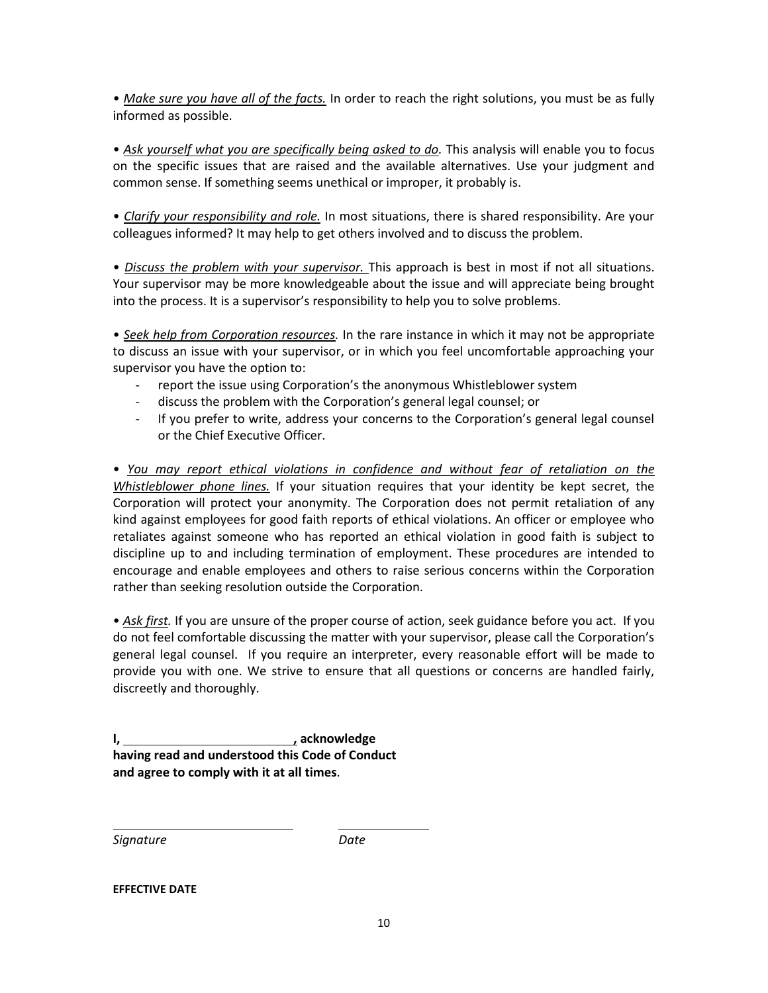• *Make sure you have all of the facts.* In order to reach the right solutions, you must be as fully informed as possible.

• *Ask yourself what you are specifically being asked to do.* This analysis will enable you to focus on the specific issues that are raised and the available alternatives. Use your judgment and common sense. If something seems unethical or improper, it probably is.

• *Clarify your responsibility and role.* In most situations, there is shared responsibility. Are your colleagues informed? It may help to get others involved and to discuss the problem.

• *Discuss the problem with your supervisor.* This approach is best in most if not all situations. Your supervisor may be more knowledgeable about the issue and will appreciate being brought into the process. It is a supervisor's responsibility to help you to solve problems.

• *Seek help from Corporation resources.* In the rare instance in which it may not be appropriate to discuss an issue with your supervisor, or in which you feel uncomfortable approaching your supervisor you have the option to:

- report the issue using Corporation's the anonymous Whistleblower system
- discuss the problem with the Corporation's general legal counsel; or
- If you prefer to write, address your concerns to the Corporation's general legal counsel or the Chief Executive Officer.

• *You may report ethical violations in confidence and without fear of retaliation on the Whistleblower phone lines.* If your situation requires that your identity be kept secret, the Corporation will protect your anonymity. The Corporation does not permit retaliation of any kind against employees for good faith reports of ethical violations. An officer or employee who retaliates against someone who has reported an ethical violation in good faith is subject to discipline up to and including termination of employment. These procedures are intended to encourage and enable employees and others to raise serious concerns within the Corporation rather than seeking resolution outside the Corporation.

• *Ask first.* If you are unsure of the proper course of action, seek guidance before you act. If you do not feel comfortable discussing the matter with your supervisor, please call the Corporation's general legal counsel. If you require an interpreter, every reasonable effort will be made to provide you with one. We strive to ensure that all questions or concerns are handled fairly, discreetly and thoroughly.

**I, , acknowledge having read and understood this Code of Conduct and agree to comply with it at all times**.

*Signature Date*

**EFFECTIVE DATE**